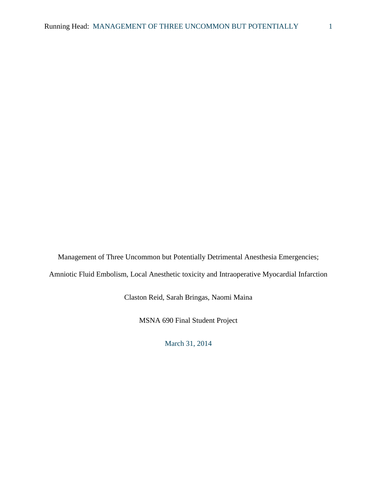Management of Three Uncommon but Potentially Detrimental Anesthesia Emergencies; Amniotic Fluid Embolism, Local Anesthetic toxicity and Intraoperative Myocardial Infarction

Claston Reid, Sarah Bringas, Naomi Maina

MSNA 690 Final Student Project

March 31, 2014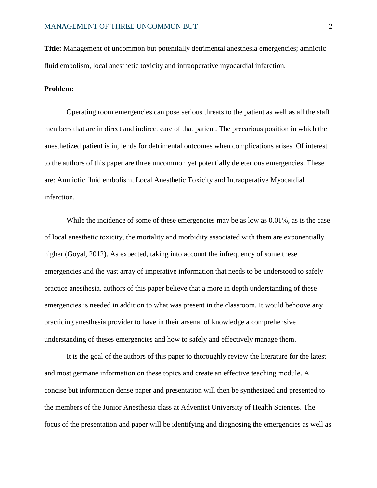**Title:** Management of uncommon but potentially detrimental anesthesia emergencies; amniotic fluid embolism, local anesthetic toxicity and intraoperative myocardial infarction.

# **Problem:**

Operating room emergencies can pose serious threats to the patient as well as all the staff members that are in direct and indirect care of that patient. The precarious position in which the anesthetized patient is in, lends for detrimental outcomes when complications arises. Of interest to the authors of this paper are three uncommon yet potentially deleterious emergencies. These are: Amniotic fluid embolism, Local Anesthetic Toxicity and Intraoperative Myocardial infarction.

While the incidence of some of these emergencies may be as low as  $0.01\%$ , as is the case of local anesthetic toxicity, the mortality and morbidity associated with them are exponentially higher (Goyal, 2012). As expected, taking into account the infrequency of some these emergencies and the vast array of imperative information that needs to be understood to safely practice anesthesia, authors of this paper believe that a more in depth understanding of these emergencies is needed in addition to what was present in the classroom. It would behoove any practicing anesthesia provider to have in their arsenal of knowledge a comprehensive understanding of theses emergencies and how to safely and effectively manage them.

It is the goal of the authors of this paper to thoroughly review the literature for the latest and most germane information on these topics and create an effective teaching module. A concise but information dense paper and presentation will then be synthesized and presented to the members of the Junior Anesthesia class at Adventist University of Health Sciences. The focus of the presentation and paper will be identifying and diagnosing the emergencies as well as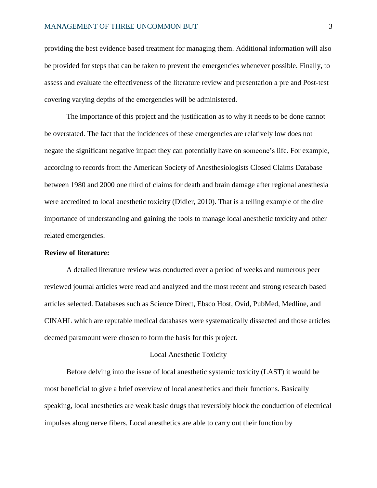providing the best evidence based treatment for managing them. Additional information will also be provided for steps that can be taken to prevent the emergencies whenever possible. Finally, to assess and evaluate the effectiveness of the literature review and presentation a pre and Post-test covering varying depths of the emergencies will be administered.

The importance of this project and the justification as to why it needs to be done cannot be overstated. The fact that the incidences of these emergencies are relatively low does not negate the significant negative impact they can potentially have on someone's life. For example, according to records from the American Society of Anesthesiologists Closed Claims Database between 1980 and 2000 one third of claims for death and brain damage after regional anesthesia were accredited to local anesthetic toxicity (Didier, 2010). That is a telling example of the dire importance of understanding and gaining the tools to manage local anesthetic toxicity and other related emergencies.

# **Review of literature:**

A detailed literature review was conducted over a period of weeks and numerous peer reviewed journal articles were read and analyzed and the most recent and strong research based articles selected. Databases such as Science Direct, Ebsco Host, Ovid, PubMed, Medline, and CINAHL which are reputable medical databases were systematically dissected and those articles deemed paramount were chosen to form the basis for this project.

### Local Anesthetic Toxicity

Before delving into the issue of local anesthetic systemic toxicity (LAST) it would be most beneficial to give a brief overview of local anesthetics and their functions. Basically speaking, local anesthetics are weak basic drugs that reversibly block the conduction of electrical impulses along nerve fibers. Local anesthetics are able to carry out their function by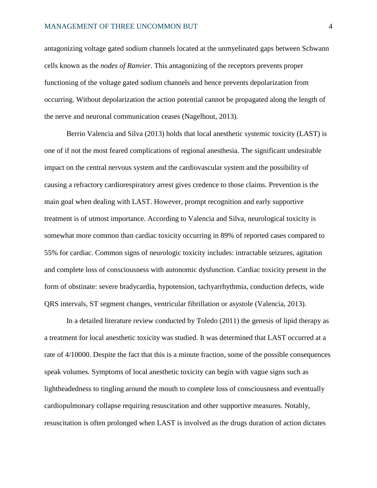antagonizing voltage gated sodium channels located at the unmyelinated gaps between Schwann cells known as the *nodes of Ranvier*. This antagonizing of the receptors prevents proper functioning of the voltage gated sodium channels and hence prevents depolarization from occurring. Without depolarization the action potential cannot be propagated along the length of the nerve and neuronal communication ceases (Nagelhout, 2013).

Berrio Valencia and Silva (2013) holds that local anesthetic systemic toxicity (LAST) is one of if not the most feared complications of regional anesthesia. The significant undesirable impact on the central nervous system and the cardiovascular system and the possibility of causing a refractory cardiorespiratory arrest gives credence to those claims. Prevention is the main goal when dealing with LAST. However, prompt recognition and early supportive treatment is of utmost importance. According to Valencia and Silva, neurological toxicity is somewhat more common than cardiac toxicity occurring in 89% of reported cases compared to 55% for cardiac. Common signs of neurologic toxicity includes: intractable seizures, agitation and complete loss of consciousness with autonomic dysfunction. Cardiac toxicity present in the form of obstinate: severe bradycardia, hypotension, tachyarrhythmia, conduction defects, wide QRS intervals, ST segment changes, ventricular fibrillation or asystole (Valencia, 2013).

In a detailed literature review conducted by Toledo (2011) the genesis of lipid therapy as a treatment for local anesthetic toxicity was studied. It was determined that LAST occurred at a rate of 4/10000. Despite the fact that this is a minute fraction, some of the possible consequences speak volumes. Symptoms of local anesthetic toxicity can begin with vague signs such as lightheadedness to tingling around the mouth to complete loss of consciousness and eventually cardiopulmonary collapse requiring resuscitation and other supportive measures. Notably, resuscitation is often prolonged when LAST is involved as the drugs duration of action dictates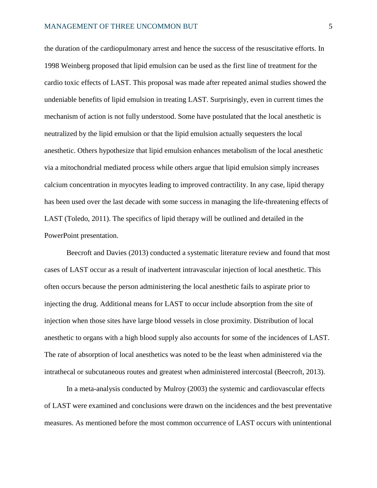the duration of the cardiopulmonary arrest and hence the success of the resuscitative efforts. In 1998 Weinberg proposed that lipid emulsion can be used as the first line of treatment for the cardio toxic effects of LAST. This proposal was made after repeated animal studies showed the undeniable benefits of lipid emulsion in treating LAST. Surprisingly, even in current times the mechanism of action is not fully understood. Some have postulated that the local anesthetic is neutralized by the lipid emulsion or that the lipid emulsion actually sequesters the local anesthetic. Others hypothesize that lipid emulsion enhances metabolism of the local anesthetic via a mitochondrial mediated process while others argue that lipid emulsion simply increases calcium concentration in myocytes leading to improved contractility. In any case, lipid therapy has been used over the last decade with some success in managing the life-threatening effects of LAST (Toledo, 2011). The specifics of lipid therapy will be outlined and detailed in the PowerPoint presentation.

Beecroft and Davies (2013) conducted a systematic literature review and found that most cases of LAST occur as a result of inadvertent intravascular injection of local anesthetic. This often occurs because the person administering the local anesthetic fails to aspirate prior to injecting the drug. Additional means for LAST to occur include absorption from the site of injection when those sites have large blood vessels in close proximity. Distribution of local anesthetic to organs with a high blood supply also accounts for some of the incidences of LAST. The rate of absorption of local anesthetics was noted to be the least when administered via the intrathecal or subcutaneous routes and greatest when administered intercostal (Beecroft, 2013).

In a meta-analysis conducted by Mulroy (2003) the systemic and cardiovascular effects of LAST were examined and conclusions were drawn on the incidences and the best preventative measures. As mentioned before the most common occurrence of LAST occurs with unintentional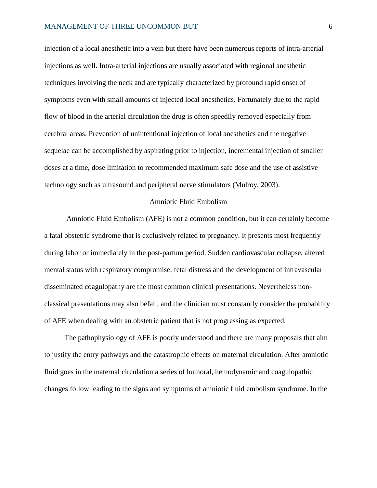injection of a local anesthetic into a vein but there have been numerous reports of intra-arterial injections as well. Intra-arterial injections are usually associated with regional anesthetic techniques involving the neck and are typically characterized by profound rapid onset of symptoms even with small amounts of injected local anesthetics. Fortunately due to the rapid flow of blood in the arterial circulation the drug is often speedily removed especially from cerebral areas. Prevention of unintentional injection of local anesthetics and the negative sequelae can be accomplished by aspirating prior to injection, incremental injection of smaller doses at a time, dose limitation to recommended maximum safe dose and the use of assistive technology such as ultrasound and peripheral nerve stimulators (Mulroy, 2003).

### Amniotic Fluid Embolism

Amniotic Fluid Embolism (AFE) is not a common condition, but it can certainly become a fatal obstetric syndrome that is exclusively related to pregnancy. It presents most frequently during labor or immediately in the post-partum period. Sudden cardiovascular collapse, altered mental status with respiratory compromise, fetal distress and the development of intravascular disseminated coagulopathy are the most common clinical presentations. Nevertheless nonclassical presentations may also befall, and the clinician must constantly consider the probability of AFE when dealing with an obstetric patient that is not progressing as expected.

 The pathophysiology of AFE is poorly understood and there are many proposals that aim to justify the entry pathways and the catastrophic effects on maternal circulation. After amniotic fluid goes in the maternal circulation a series of humoral, hemodynamic and coagulopathic changes follow leading to the signs and symptoms of amniotic fluid embolism syndrome. In the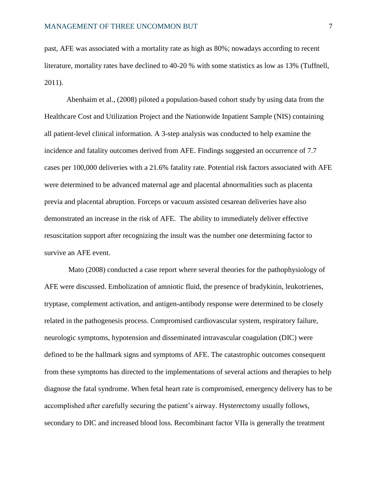past, AFE was associated with a mortality rate as high as 80%; nowadays according to recent literature, mortality rates have declined to 40-20 % with some statistics as low as 13% (Tuffnell, 2011).

Abenhaim et al., (2008) piloted a population-based cohort study by using data from the Healthcare Cost and Utilization Project and the Nationwide Inpatient Sample (NIS) containing all patient-level clinical information. A 3-step analysis was conducted to help examine the incidence and fatality outcomes derived from AFE. Findings suggested an occurrence of 7.7 cases per 100,000 deliveries with a 21.6% fatality rate. Potential risk factors associated with AFE were determined to be advanced maternal age and placental abnormalities such as placenta previa and placental abruption. Forceps or vacuum assisted cesarean deliveries have also demonstrated an increase in the risk of AFE. The ability to immediately deliver effective resuscitation support after recognizing the insult was the number one determining factor to survive an AFE event.

Mato (2008) conducted a case report where several theories for the pathophysiology of AFE were discussed. Embolization of amniotic fluid, the presence of bradykinin, leukotrienes, tryptase, complement activation, and antigen-antibody response were determined to be closely related in the pathogenesis process. Compromised cardiovascular system, respiratory failure, neurologic symptoms, hypotension and disseminated intravascular coagulation (DIC) were defined to be the hallmark signs and symptoms of AFE. The catastrophic outcomes consequent from these symptoms has directed to the implementations of several actions and therapies to help diagnose the fatal syndrome. When fetal heart rate is compromised, emergency delivery has to be accomplished after carefully securing the patient's airway. Hysterectomy usually follows, secondary to DIC and increased blood loss. Recombinant factor VIIa is generally the treatment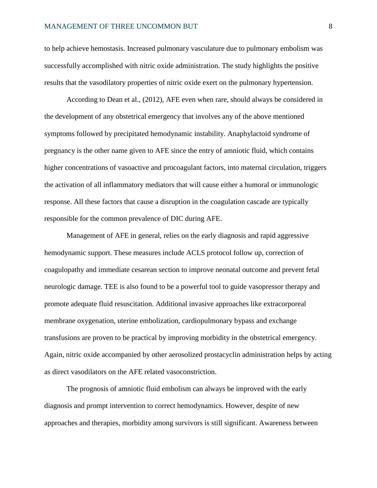to help achieve hemostasis. Increased pulmonary vasculature due to pulmonary embolism was successfully accomplished with nitric oxide administration. The study highlights the positive results that the vasodilatory properties of nitric oxide exert on the pulmonary hypertension.

According to Dean et al., (2012), AFE even when rare, should always be considered in the development of any obstetrical emergency that involves any of the above mentioned symptoms followed by precipitated hemodynamic instability. Anaphylactoid syndrome of pregnancy is the other name given to AFE since the entry of amniotic fluid, which contains higher concentrations of vasoactive and procoagulant factors, into maternal circulation, triggers the activation of all inflammatory mediators that will cause either a humoral or immunologic response. All these factors that cause a disruption in the coagulation cascade are typically responsible for the common prevalence of DIC during AFE.

Management of AFE in general, relies on the early diagnosis and rapid aggressive hemodynamic support. These measures include ACLS protocol follow up, correction of coagulopathy and immediate cesarean section to improve neonatal outcome and prevent fetal neurologic damage. TEE is also found to be a powerful tool to guide vasopressor therapy and promote adequate fluid resuscitation. Additional invasive approaches like extracorporeal membrane oxygenation, uterine embolization, cardiopulmonary bypass and exchange transfusions are proven to be practical by improving morbidity in the obstetrical emergency. Again, nitric oxide accompanied by other aerosolized prostacyclin administration helps by acting as direct vasodilators on the AFE related vasoconstriction.

The prognosis of amniotic fluid embolism can always be improved with the early diagnosis and prompt intervention to correct hemodynamics. However, despite of new approaches and therapies, morbidity among survivors is still significant. Awareness between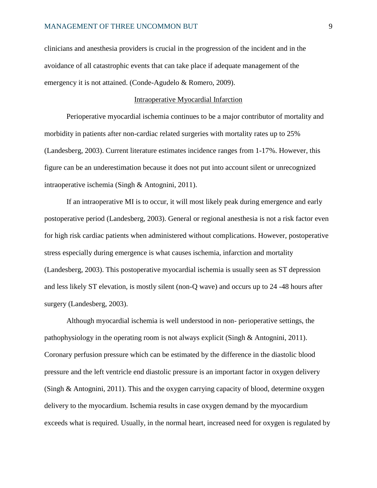clinicians and anesthesia providers is crucial in the progression of the incident and in the avoidance of all catastrophic events that can take place if adequate management of the emergency it is not attained. (Conde-Agudelo & Romero, 2009).

## Intraoperative Myocardial Infarction

Perioperative myocardial ischemia continues to be a major contributor of mortality and morbidity in patients after non-cardiac related surgeries with mortality rates up to 25% (Landesberg, 2003). Current literature estimates incidence ranges from 1-17%. However, this figure can be an underestimation because it does not put into account silent or unrecognized intraoperative ischemia (Singh & Antognini, 2011).

If an intraoperative MI is to occur, it will most likely peak during emergence and early postoperative period (Landesberg, 2003). General or regional anesthesia is not a risk factor even for high risk cardiac patients when administered without complications. However, postoperative stress especially during emergence is what causes ischemia, infarction and mortality (Landesberg, 2003). This postoperative myocardial ischemia is usually seen as ST depression and less likely ST elevation, is mostly silent (non-Q wave) and occurs up to 24 -48 hours after surgery (Landesberg, 2003).

Although myocardial ischemia is well understood in non- perioperative settings, the pathophysiology in the operating room is not always explicit (Singh & Antognini, 2011). Coronary perfusion pressure which can be estimated by the difference in the diastolic blood pressure and the left ventricle end diastolic pressure is an important factor in oxygen delivery (Singh & Antognini, 2011). This and the oxygen carrying capacity of blood, determine oxygen delivery to the myocardium. Ischemia results in case oxygen demand by the myocardium exceeds what is required. Usually, in the normal heart, increased need for oxygen is regulated by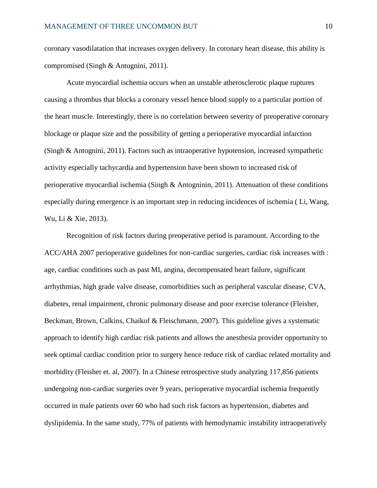coronary vasodilatation that increases oxygen delivery. In coronary heart disease, this ability is compromised (Singh & Antognini, 2011).

Acute myocardial ischemia occurs when an unstable atherosclerotic plaque ruptures causing a thrombus that blocks a coronary vessel hence blood supply to a particular portion of the heart muscle. Interestingly, there is no correlation between severity of preoperative coronary blockage or plaque size and the possibility of getting a perioperative myocardial infarction (Singh & Antognini, 2011). Factors such as intraoperative hypotension, increased sympathetic activity especially tachycardia and hypertension have been shown to increased risk of perioperative myocardial ischemia (Singh & Antogninin, 2011). Attenuation of these conditions especially during emergence is an important step in reducing incidences of ischemia ( Li, Wang, Wu, Li & Xie, 2013).

Recognition of risk factors during preoperative period is paramount. According to the ACC/AHA 2007 perioperative guidelines for non-cardiac surgeries, cardiac risk increases with : age, cardiac conditions such as past MI, angina, decompensated heart failure, significant arrhythmias, high grade valve disease, comorbidities such as peripheral vascular disease, CVA, diabetes, renal impairment, chronic pulmonary disease and poor exercise tolerance (Fleisher, Beckman, Brown, Calkins, Chaikof & Fleischmann, 2007). This guideline gives a systematic approach to identify high cardiac risk patients and allows the anesthesia provider opportunity to seek optimal cardiac condition prior to surgery hence reduce risk of cardiac related mortality and morbidity (Fleisher et. al, 2007). In a Chinese retrospective study analyzing 117,856 patients undergoing non-cardiac surgeries over 9 years, perioperative myocardial ischemia frequently occurred in male patients over 60 who had such risk factors as hypertension, diabetes and dyslipidemia. In the same study, 77% of patients with hemodynamic instability intraoperatively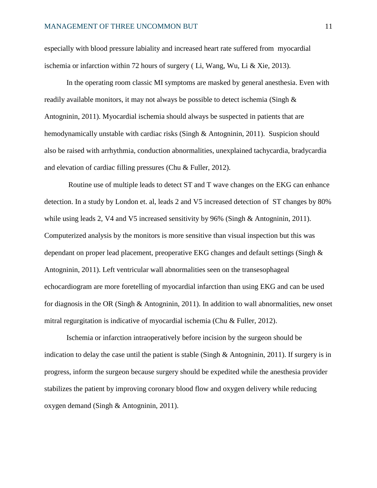especially with blood pressure labiality and increased heart rate suffered from myocardial ischemia or infarction within 72 hours of surgery (Li, Wang, Wu, Li & Xie, 2013).

In the operating room classic MI symptoms are masked by general anesthesia. Even with readily available monitors, it may not always be possible to detect ischemia (Singh  $\&$ Antogninin, 2011). Myocardial ischemia should always be suspected in patients that are hemodynamically unstable with cardiac risks (Singh & Antogninin, 2011). Suspicion should also be raised with arrhythmia, conduction abnormalities, unexplained tachycardia, bradycardia and elevation of cardiac filling pressures (Chu & Fuller, 2012).

Routine use of multiple leads to detect ST and T wave changes on the EKG can enhance detection. In a study by London et. al, leads 2 and V5 increased detection of ST changes by 80% while using leads 2, V4 and V5 increased sensitivity by 96% (Singh & Antogninin, 2011). Computerized analysis by the monitors is more sensitive than visual inspection but this was dependant on proper lead placement, preoperative EKG changes and default settings (Singh & Antogninin, 2011). Left ventricular wall abnormalities seen on the transesophageal echocardiogram are more foretelling of myocardial infarction than using EKG and can be used for diagnosis in the OR (Singh & Antogninin, 2011). In addition to wall abnormalities, new onset mitral regurgitation is indicative of myocardial ischemia (Chu & Fuller, 2012).

Ischemia or infarction intraoperatively before incision by the surgeon should be indication to delay the case until the patient is stable (Singh  $\&$  Antogninin, 2011). If surgery is in progress, inform the surgeon because surgery should be expedited while the anesthesia provider stabilizes the patient by improving coronary blood flow and oxygen delivery while reducing oxygen demand (Singh & Antogninin, 2011).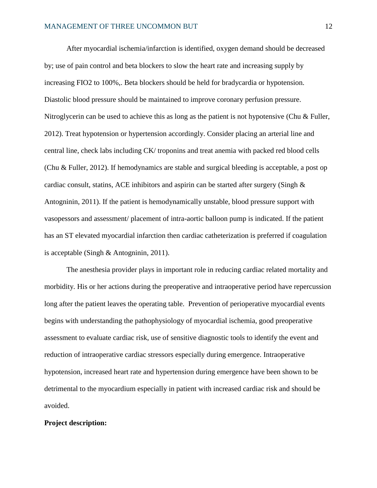After myocardial ischemia/infarction is identified, oxygen demand should be decreased by; use of pain control and beta blockers to slow the heart rate and increasing supply by increasing FIO2 to 100%,. Beta blockers should be held for bradycardia or hypotension. Diastolic blood pressure should be maintained to improve coronary perfusion pressure. Nitroglycerin can be used to achieve this as long as the patient is not hypotensive (Chu & Fuller, 2012). Treat hypotension or hypertension accordingly. Consider placing an arterial line and central line, check labs including CK/ troponins and treat anemia with packed red blood cells (Chu & Fuller, 2012). If hemodynamics are stable and surgical bleeding is acceptable, a post op cardiac consult, statins, ACE inhibitors and aspirin can be started after surgery (Singh  $\&$ Antogninin, 2011). If the patient is hemodynamically unstable, blood pressure support with vasopessors and assessment/ placement of intra-aortic balloon pump is indicated. If the patient has an ST elevated myocardial infarction then cardiac catheterization is preferred if coagulation is acceptable (Singh & Antogninin, 2011).

The anesthesia provider plays in important role in reducing cardiac related mortality and morbidity. His or her actions during the preoperative and intraoperative period have repercussion long after the patient leaves the operating table. Prevention of perioperative myocardial events begins with understanding the pathophysiology of myocardial ischemia, good preoperative assessment to evaluate cardiac risk, use of sensitive diagnostic tools to identify the event and reduction of intraoperative cardiac stressors especially during emergence. Intraoperative hypotension, increased heart rate and hypertension during emergence have been shown to be detrimental to the myocardium especially in patient with increased cardiac risk and should be avoided.

### **Project description:**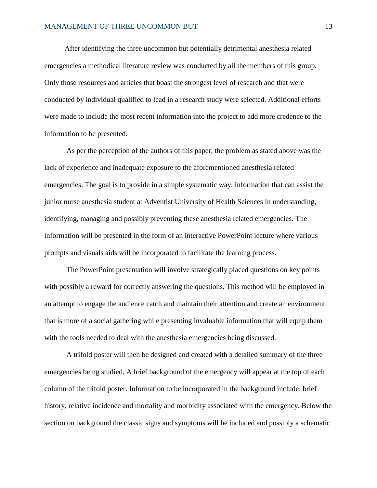After identifying the three uncommon but potentially detrimental anesthesia related emergencies a methodical literature review was conducted by all the members of this group. Only those resources and articles that boast the strongest level of research and that were conducted by individual qualified to lead in a research study were selected. Additional efforts were made to include the most recent information into the project to add more credence to the information to be presented.

As per the perception of the authors of this paper, the problem as stated above was the lack of experience and inadequate exposure to the aforementioned anesthesia related emergencies. The goal is to provide in a simple systematic way, information that can assist the junior nurse anesthesia student at Adventist University of Health Sciences in understanding, identifying, managing and possibly preventing these anesthesia related emergencies. The information will be presented in the form of an interactive PowerPoint lecture where various prompts and visuals aids will be incorporated to facilitate the learning process.

The PowerPoint presentation will involve strategically placed questions on key points with possibly a reward for correctly answering the questions. This method will be employed in an attempt to engage the audience catch and maintain their attention and create an environment that is more of a social gathering while presenting invaluable information that will equip them with the tools needed to deal with the anesthesia emergencies being discussed.

A trifold poster will then be designed and created with a detailed summary of the three emergencies being studied. A brief background of the emergency will appear at the top of each column of the trifold poster. Information to be incorporated in the background include: brief history, relative incidence and mortality and morbidity associated with the emergency. Below the section on background the classic signs and symptoms will be included and possibly a schematic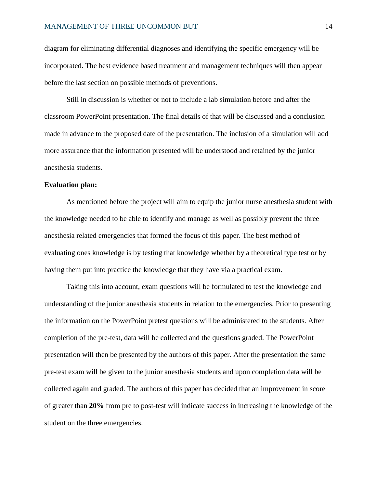diagram for eliminating differential diagnoses and identifying the specific emergency will be incorporated. The best evidence based treatment and management techniques will then appear before the last section on possible methods of preventions.

Still in discussion is whether or not to include a lab simulation before and after the classroom PowerPoint presentation. The final details of that will be discussed and a conclusion made in advance to the proposed date of the presentation. The inclusion of a simulation will add more assurance that the information presented will be understood and retained by the junior anesthesia students.

# **Evaluation plan:**

As mentioned before the project will aim to equip the junior nurse anesthesia student with the knowledge needed to be able to identify and manage as well as possibly prevent the three anesthesia related emergencies that formed the focus of this paper. The best method of evaluating ones knowledge is by testing that knowledge whether by a theoretical type test or by having them put into practice the knowledge that they have via a practical exam.

Taking this into account, exam questions will be formulated to test the knowledge and understanding of the junior anesthesia students in relation to the emergencies. Prior to presenting the information on the PowerPoint pretest questions will be administered to the students. After completion of the pre-test, data will be collected and the questions graded. The PowerPoint presentation will then be presented by the authors of this paper. After the presentation the same pre-test exam will be given to the junior anesthesia students and upon completion data will be collected again and graded. The authors of this paper has decided that an improvement in score of greater than **20%** from pre to post-test will indicate success in increasing the knowledge of the student on the three emergencies.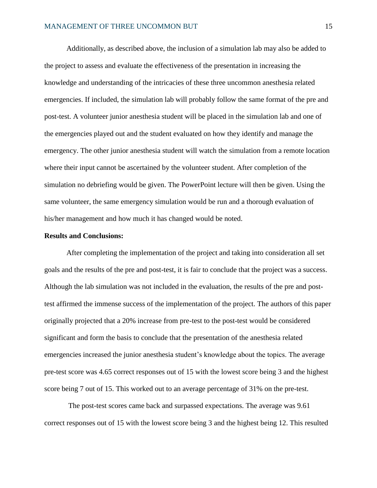Additionally, as described above, the inclusion of a simulation lab may also be added to the project to assess and evaluate the effectiveness of the presentation in increasing the knowledge and understanding of the intricacies of these three uncommon anesthesia related emergencies. If included, the simulation lab will probably follow the same format of the pre and post-test. A volunteer junior anesthesia student will be placed in the simulation lab and one of the emergencies played out and the student evaluated on how they identify and manage the emergency. The other junior anesthesia student will watch the simulation from a remote location where their input cannot be ascertained by the volunteer student. After completion of the simulation no debriefing would be given. The PowerPoint lecture will then be given. Using the same volunteer, the same emergency simulation would be run and a thorough evaluation of his/her management and how much it has changed would be noted.

## **Results and Conclusions:**

After completing the implementation of the project and taking into consideration all set goals and the results of the pre and post-test, it is fair to conclude that the project was a success. Although the lab simulation was not included in the evaluation, the results of the pre and posttest affirmed the immense success of the implementation of the project. The authors of this paper originally projected that a 20% increase from pre-test to the post-test would be considered significant and form the basis to conclude that the presentation of the anesthesia related emergencies increased the junior anesthesia student's knowledge about the topics. The average pre-test score was 4.65 correct responses out of 15 with the lowest score being 3 and the highest score being 7 out of 15. This worked out to an average percentage of 31% on the pre-test.

The post-test scores came back and surpassed expectations. The average was 9.61 correct responses out of 15 with the lowest score being 3 and the highest being 12. This resulted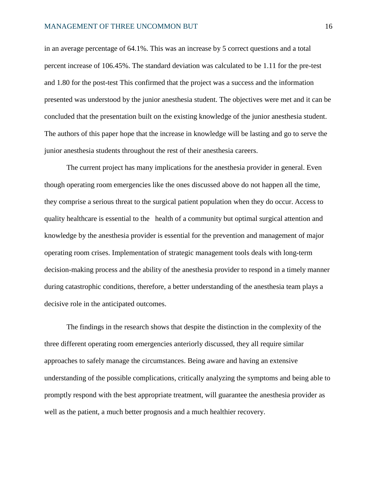in an average percentage of 64.1%. This was an increase by 5 correct questions and a total percent increase of 106.45%. The standard deviation was calculated to be 1.11 for the pre-test and 1.80 for the post-test This confirmed that the project was a success and the information presented was understood by the junior anesthesia student. The objectives were met and it can be concluded that the presentation built on the existing knowledge of the junior anesthesia student. The authors of this paper hope that the increase in knowledge will be lasting and go to serve the junior anesthesia students throughout the rest of their anesthesia careers.

The current project has many implications for the anesthesia provider in general. Even though operating room emergencies like the ones discussed above do not happen all the time, they comprise a serious threat to the surgical patient population when they do occur. Access to quality healthcare is essential to the health of a community but optimal surgical attention and knowledge by the anesthesia provider is essential for the prevention and management of major operating room crises. Implementation of strategic management tools deals with long-term decision-making process and the ability of the anesthesia provider to respond in a timely manner during catastrophic conditions, therefore, a better understanding of the anesthesia team plays a decisive role in the anticipated outcomes.

The findings in the research shows that despite the distinction in the complexity of the three different operating room emergencies anteriorly discussed, they all require similar approaches to safely manage the circumstances. Being aware and having an extensive understanding of the possible complications, critically analyzing the symptoms and being able to promptly respond with the best appropriate treatment, will guarantee the anesthesia provider as well as the patient, a much better prognosis and a much healthier recovery.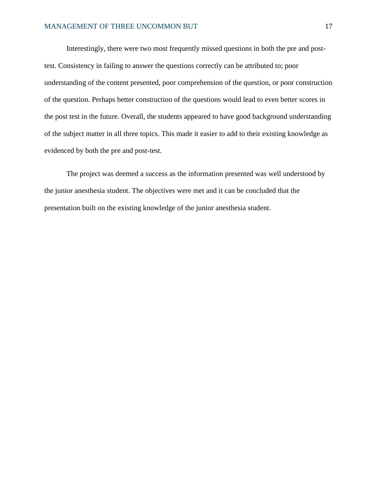Interestingly, there were two most frequently missed questions in both the pre and posttest. Consistency in failing to answer the questions correctly can be attributed to; poor understanding of the content presented, poor comprehension of the question, or poor construction of the question. Perhaps better construction of the questions would lead to even better scores in the post test in the future. Overall, the students appeared to have good background understanding of the subject matter in all three topics. This made it easier to add to their existing knowledge as evidenced by both the pre and post-test.

The project was deemed a success as the information presented was well understood by the junior anesthesia student. The objectives were met and it can be concluded that the presentation built on the existing knowledge of the junior anesthesia student.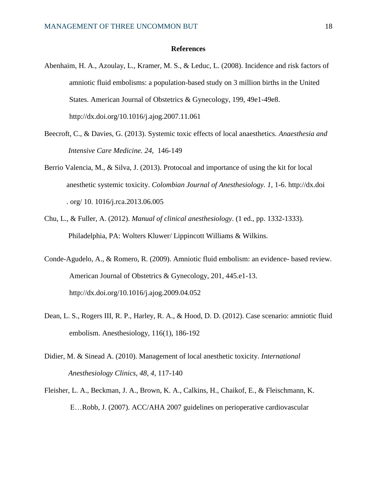## **References**

- Abenhaim, H. A., Azoulay, L., Kramer, M. S., & Leduc, L. (2008). Incidence and risk factors of amniotic fluid embolisms: a population-based study on 3 million births in the United States. American Journal of Obstetrics & Gynecology, 199, 49e1-49e8. http://dx.doi.org/10.1016/j.ajog.2007.11.061
- Beecroft, C., & Davies, G. (2013). Systemic toxic effects of local anaesthetics. *Anaesthesia and Intensive Care Medicine. 24,* 146-149
- Berrio Valencia, M., & Silva, J. (2013). Protocoal and importance of using the kit for local anesthetic systemic toxicity. *Colombian Journal of Anesthesiology. 1,* 1-6. http://dx.doi . org/ 10. 1016/j.rca.2013.06.005
- Chu, L., & Fuller, A. (2012). *Manual of clinical anesthesiology*. (1 ed., pp. 1332-1333). Philadelphia, PA: Wolters Kluwer/ Lippincott Williams & Wilkins.
- Conde-Agudelo, A., & Romero, R. (2009). Amniotic fluid embolism: an evidence- based review. American Journal of Obstetrics & Gynecology, 201, 445.e1-13. http://dx.doi.org/10.1016/j.ajog.2009.04.052
- Dean, L. S., Rogers III, R. P., Harley, R. A., & Hood, D. D. (2012). Case scenario: amniotic fluid embolism. Anesthesiology, 116(1), 186-192
- Didier, M. & Sinead A. (2010). Management of local anesthetic toxicity. *International Anesthesiology Clinics, 48, 4,* 117-140
- Fleisher, L. A., Beckman, J. A., Brown, K. A., Calkins, H., Chaikof, E., & Fleischmann, K. E…Robb, J. (2007). ACC/AHA 2007 guidelines on perioperative cardiovascular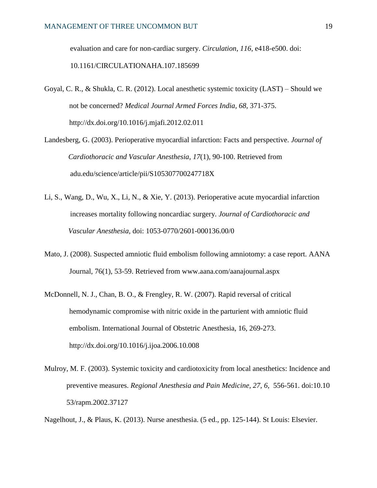evaluation and care for non-cardiac surgery. *Circulation*, *116*, e418-e500. doi:

10.1161/CIRCULATIONAHA.107.185699

- Goyal, C. R., & Shukla, C. R. (2012). Local anesthetic systemic toxicity (LAST) Should we not be concerned? *Medical Journal Armed Forces India, 68,* 371-375. http://dx.doi.org/10.1016/j.mjafi.2012.02.011
- Landesberg, G. (2003). Perioperative myocardial infarction: Facts and perspective. *Journal of Cardiothoracic and Vascular Anesthesia*, *17*(1), 90-100. Retrieved from adu.edu/science/article/pii/S105307700247718X
- Li, S., Wang, D., Wu, X., Li, N., & Xie, Y. (2013). Perioperative acute myocardial infarction increases mortality following noncardiac surgery. *Journal of Cardiothoracic and Vascular Anesthesia*, doi: 1053-0770/2601-000136.00/0
- Mato, J. (2008). Suspected amniotic fluid embolism following amniotomy: a case report. AANA Journal, 76(1), 53-59. Retrieved from www.aana.com/aanajournal.aspx
- McDonnell, N. J., Chan, B. O., & Frengley, R. W. (2007). Rapid reversal of critical hemodynamic compromise with nitric oxide in the parturient with amniotic fluid embolism. International Journal of Obstetric Anesthesia, 16, 269-273. http://dx.doi.org/10.1016/j.ijoa.2006.10.008
- Mulroy, M. F. (2003). Systemic toxicity and cardiotoxicity from local anesthetics: Incidence and preventive measures. *Regional Anesthesia and Pain Medicine, 27, 6,* 556-561. doi:10.10 53/rapm.2002.37127
- Nagelhout, J., & Plaus, K. (2013). Nurse anesthesia. (5 ed., pp. 125-144). St Louis: Elsevier.